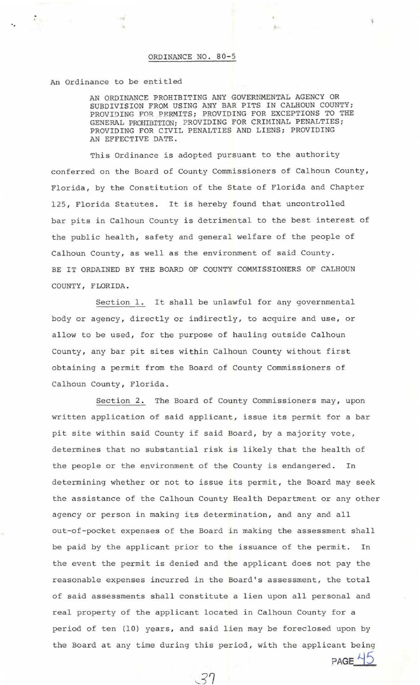## ORDINANCE NO. 80-5

## An Ordinance to be entitled

 $\frac{1}{\gamma_{\rm eff}^2}$ 

AN ORDINANCE PROHIBITING ANY GOVERNMENTAL AGENCY OR SUBDIVISION FROM USING ANY BAR PITS IN CALHOUN COUNTY; PROVIDING FOR PERMITS; PROVIDING FOR EXCEPTIONS TO THE GENERAL PROHIBITION; PROVIDING FOR CRIMINAL PENALTIES; PROVIDING FOR CIVIL PENALTIES AND LIENS; PROVIDING AN EFFECTIVE DATE.

 $A_{n+1}$ 

This Ordinance is adopted pursuant to the authority conferred on the Board of County Commissioners of Calhoun County, Florida, by the Constitution of the State of Florida and Chapter 125, Florida Statutes. It is hereby found that uncontrolled bar pits in Calhoun County is detrimental to the best interest of the public health, safety and general welfare of the people of Calhoun County, as well as the environment of said County . BE IT ORDAINED BY THE BOARD OF COUNTY COMMISSIONERS OF CALHOUN COUNTY, FLORIDA.

Section l. It shall be unlawful for any governmental body or agency, directly or indirectly, to acquire and use, or allow to be used, for the purpose of hauling outside Calhoun County, any bar pit sites within Calhoun County without first obtaining a permit from the Board of County Commissioners of Calhoun County, Florida.

Section 2. The Board of County Commissioners may, upon written application of said applicant, issue its permit for a bar pit site within said County if said Board, by a majority vote, determines that no substantial risk is likely that the health of the people or the environment of the County is endangered. In determining whether or not to issue its permit, the Board may seek the assistance of the Calhoun County Health Department or any other agency or person in making its determination, and any and all out-of-pocket expenses of the Board in making the assessment shall be paid by the applicant prior to the issuance of the permit. In the event the permit is denied and the applicant does not pay the reasonable expenses incurred in the Board's assessment, the total of said assessments shall constitute a lien upon all personal and real property of the applicant located in Calhoun County for a period of ten (10) years, and said lien may be foreclosed upon by the Board at any time during this period, with the applicant being PAGE<sup>45</sup>

 $37$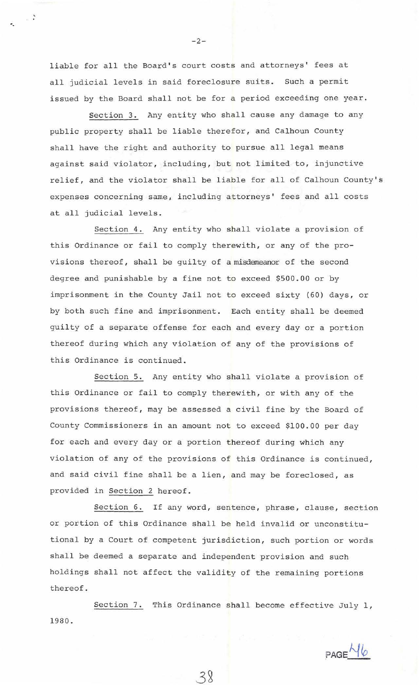liable for all the Board's court costs and attorneys' fees at all judicial levels in said foreclosure suits. Such a permit issued by the Board shall not be for a period exceeding one year.

Section 3. Any entity who shall cause any damage to any public property shall be liable therefor, and Calhoun County shall have the right and authority to pursue all legal means against said violator, including, but not limited to, injunctive relief, and the violator shall be liable for all of Calhoun County's expenses concerning same, including attorneys' fees and all costs at all judicial levels.

Section 4. Any entity who shall violate a provision of this Ordinance or fail to comply therewith, or any of the provisions thereof, shall be guilty of a misdemeanor of the second degree and punishable by a fine not to exceed  $$500.00$  or by imprisonment in the County Jail not to exceed sixty (60) days, or by both such fine and imprisonment. Each entity shall be deemed guilty of a separate offense for each and every day or a portion thereof during which any violation of any of the provisions of this Ordinance is continued.

Section 5. Any entity who shall violate a provision of this Ordinance or fail to comply therewith, or with any of the provisions thereof, may be assessed a civil fine by the Board of County Commissioners in an amount not to exceed \$100.00 per day for each and every day or a portion thereof during which any violation of any of the provisions of this Ordinance is continued, and said civil fine shall be a lien, and may be foreclosed, as provided in Section 2 hereof .

Section 6. If any word, sentence, phrase, clause, section or portion of this Ordinance shall be held invalid or unconstitutional by a Court of competent jurisdiction, such portion or words shall be deemed a separate and independent provision and such holdings shall not affect the validity of the remaining portions thereof .

Section 7. This Ordinance shall become effective July 1, 1 980.

 $38$ 

 $PAGEM6$ 

 $-2-$ 

 $\ddot{\phantom{a}}$  .